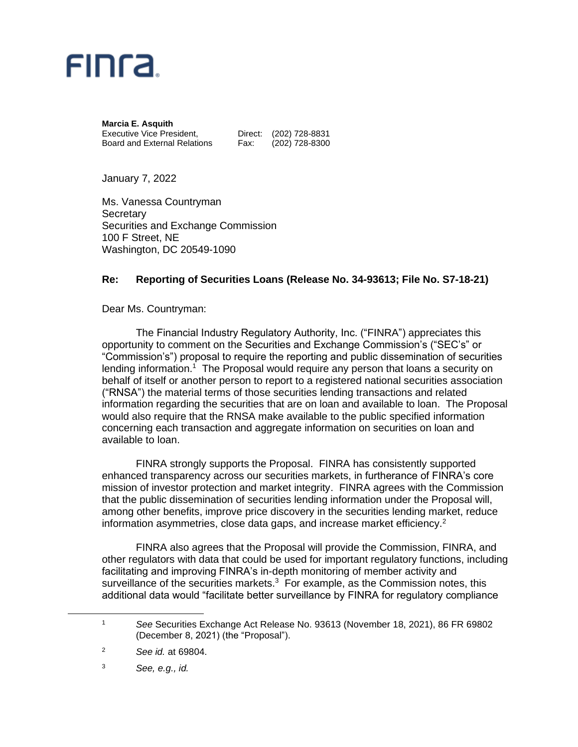

**Marcia E. Asquith** Executive Vice President, Direct: (202) 728-8831 Board and External Relations Fax: (202) 728-8300

January 7, 2022

Ms. Vanessa Countryman **Secretary** Securities and Exchange Commission 100 F Street, NE Washington, DC 20549-1090

## **Re: Reporting of Securities Loans (Release No. 34-93613; File No. S7-18-21)**

Dear Ms. Countryman:

The Financial Industry Regulatory Authority, Inc. ("FINRA") appreciates this opportunity to comment on the Securities and Exchange Commission's ("SEC's" or "Commission's") proposal to require the reporting and public dissemination of securities lending information.<sup>1</sup> The Proposal would require any person that loans a security on behalf of itself or another person to report to a registered national securities association ("RNSA") the material terms of those securities lending transactions and related information regarding the securities that are on loan and available to loan. The Proposal would also require that the RNSA make available to the public specified information concerning each transaction and aggregate information on securities on loan and available to loan.

FINRA strongly supports the Proposal. FINRA has consistently supported enhanced transparency across our securities markets, in furtherance of FINRA's core mission of investor protection and market integrity. FINRA agrees with the Commission that the public dissemination of securities lending information under the Proposal will, among other benefits, improve price discovery in the securities lending market, reduce information asymmetries, close data gaps, and increase market efficiency.<sup>2</sup>

FINRA also agrees that the Proposal will provide the Commission, FINRA, and other regulators with data that could be used for important regulatory functions, including facilitating and improving FINRA's in-depth monitoring of member activity and surveillance of the securities markets. $3$  For example, as the Commission notes, this additional data would "facilitate better surveillance by FINRA for regulatory compliance

<sup>3</sup> *See, e.g., id.*

<sup>1</sup> *See* Securities Exchange Act Release No. 93613 (November 18, 2021), 86 FR 69802 (December 8, 2021) (the "Proposal").

<sup>2</sup> *See id.* at 69804.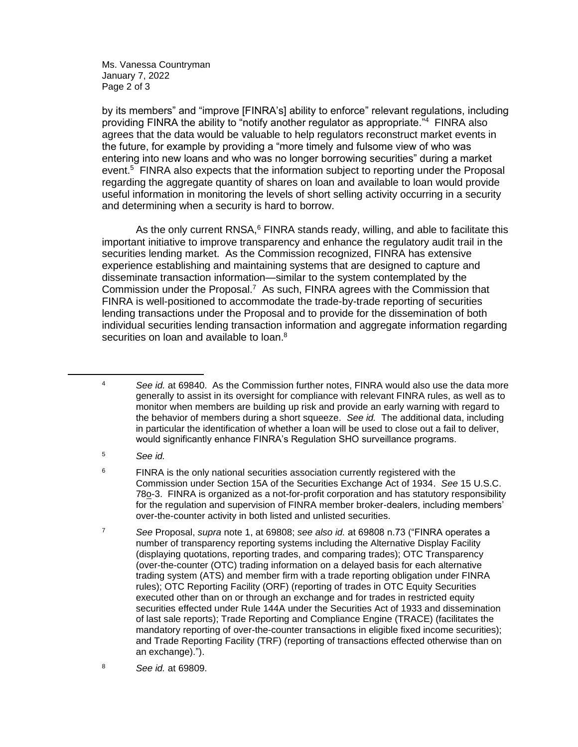Ms. Vanessa Countryman January 7, 2022 Page 2 of 3

by its members" and "improve [FINRA's] ability to enforce" relevant regulations, including providing FINRA the ability to "notify another regulator as appropriate."<sup>4</sup> FINRA also agrees that the data would be valuable to help regulators reconstruct market events in the future, for example by providing a "more timely and fulsome view of who was entering into new loans and who was no longer borrowing securities" during a market event.<sup>5</sup> FINRA also expects that the information subject to reporting under the Proposal regarding the aggregate quantity of shares on loan and available to loan would provide useful information in monitoring the levels of short selling activity occurring in a security and determining when a security is hard to borrow.

As the only current RNSA, $6$  FINRA stands ready, willing, and able to facilitate this important initiative to improve transparency and enhance the regulatory audit trail in the securities lending market. As the Commission recognized, FINRA has extensive experience establishing and maintaining systems that are designed to capture and disseminate transaction information—similar to the system contemplated by the Commission under the Proposal.<sup>7</sup> As such, FINRA agrees with the Commission that FINRA is well-positioned to accommodate the trade-by-trade reporting of securities lending transactions under the Proposal and to provide for the dissemination of both individual securities lending transaction information and aggregate information regarding securities on loan and available to loan.<sup>8</sup>

- <sup>4</sup> *See id.* at 69840. As the Commission further notes, FINRA would also use the data more generally to assist in its oversight for compliance with relevant FINRA rules, as well as to monitor when members are building up risk and provide an early warning with regard to the behavior of members during a short squeeze. *See id.* The additional data, including in particular the identification of whether a loan will be used to close out a fail to deliver, would significantly enhance FINRA's Regulation SHO surveillance programs.
- <sup>5</sup> *See id.*
- <sup>6</sup> FINRA is the only national securities association currently registered with the Commission under Section 15A of the Securities Exchange Act of 1934. *See* 15 U.S.C. 78o-3. FINRA is organized as a not-for-profit corporation and has statutory responsibility for the regulation and supervision of FINRA member broker-dealers, including members' over-the-counter activity in both listed and unlisted securities.
- <sup>7</sup> *See* Proposal, *supra* note 1, at 69808; *see also id.* at 69808 n.73 ("FINRA operates a number of transparency reporting systems including the Alternative Display Facility (displaying quotations, reporting trades, and comparing trades); OTC Transparency (over-the-counter (OTC) trading information on a delayed basis for each alternative trading system (ATS) and member firm with a trade reporting obligation under FINRA rules); OTC Reporting Facility (ORF) (reporting of trades in OTC Equity Securities executed other than on or through an exchange and for trades in restricted equity securities effected under Rule 144A under the Securities Act of 1933 and dissemination of last sale reports); Trade Reporting and Compliance Engine (TRACE) (facilitates the mandatory reporting of over-the-counter transactions in eligible fixed income securities); and Trade Reporting Facility (TRF) (reporting of transactions effected otherwise than on an exchange).").
- <sup>8</sup> *See id.* at 69809.